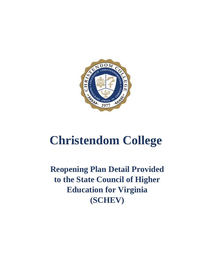

# **Christendom College**

**Reopening Plan Detail Provided to the State Council of Higher Education for Virginia (SCHEV)**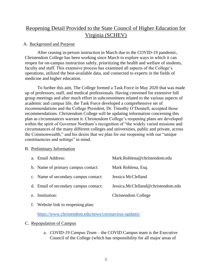# Reopening Detail Provided to the State Council of Higher Education for Virginia (SCHEV)

# A. Background and Purpose

After ceasing in-person instruction in March due to the COVID-19 pandemic, Christendom College has been working since March to explore ways in which it can reopen for on-campus instruction safely, prioritizing the health and welfare of students, faculty and staff. This extensive process has examined all aspects of the College's operations, utilized the best-available data, and connected to experts in the fields of medicine and higher education.

To further this aim, The College formed a Task Force in May 2020 that was made up of professors, staff, and medical professionals. Having convened for extensive full group meetings and after much effort in subcommittees related to the various aspects of academic and campus life, the Task Force developed a comprehensive set of recommendations and the College President, Dr. Timothy O'Donnell, accepted those recommendations. Christendom College will be updating information concerning this plan as circumstances warrant it. Christendom College's reopening plans are developed within the spirit of Governor Northam's recognition of "the widely varied missions and circumstances of the many different colleges and universities, public and private, across the Commonwealth," and his desire that we plan for our reopening with our "unique constituencies and settings" in mind.

# B. Preliminary Information

| a. Email Address:                     | Mark.Rohlena@christendom.edu       |
|---------------------------------------|------------------------------------|
| b. Name of primary campus contact:    | Mark Rohlena, Esq.                 |
| c. Name of secondary campus contact:  | Jessica McClelland                 |
| d. Email of secondary campus contact: | Jessica.McClelland@christendom.edu |
| e. Institution:                       | Christendom College                |

f. Website link to reopening plan:

<https://www.christendom.edu/news/coronavirus-updates/>

# C. Repopulation of Campus

a. *COVID-19 Campus Team* – the COVID Campus team is the Executive Council of the College (which has responsibility for all major areas of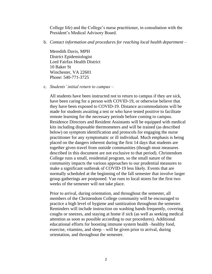College life) and the College's nurse practitioner, in consultation with the President's Medical Advisory Board.

b. *Contact information and procedures for reaching local health department –* 

Meredith Davis, MPH District Epidemiologist Lord Fairfax Health District 10 Baker St Winchester, VA 22601 Phone: 540-771-3725

c. *Students' initial return to campus* –

All students have been instructed not to return to campus if they are sick, have been caring for a person with COVID-19, or otherwise believe that they have been exposed to COVID-19. Distance accommodations will be made for students awaiting a test or who have tested positive to facilitate remote learning for the necessary periods before coming to campus. Residence Directors and Resident Assistants will be equipped with medical kits including disposable thermometers and will be trained (as described below) on symptom identification and protocols for engaging the nurse practitioner for any symptomatic or ill individual. Much emphasis is being placed on the dangers inherent during the first 14 days that students are together given travel from outside communities (though most measures described in this document are not exclusive to that period). Christendom College runs a small, residential program, so the small nature of the community impacts the various approaches to our prudential measures to make a significant outbreak of COVID-19 less likely. Events that are normally scheduled at the beginning of the fall semester that involve larger group gatherings are postponed. Van runs to local stores for the first two weeks of the semester will not take place.

Prior to arrival, during orientation, and throughout the semester, all members of the Christendom College community will be encouraged to practice a high level of hygiene and sanitization throughout the semester. Reminders will include instruction on washing hands frequently, covering coughs or sneezes, and staying at home if sick (as well as seeking medical attention as soon as possible according to our procedures). Additional educational efforts for boosting immune system health –healthy food, exercise, vitamins, and sleep – will be given prior to arrival, during orientation, and throughout the semester.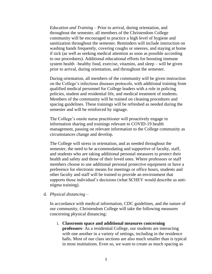*Education and Training* – Prior to arrival, during orientation, and throughout the semester, all members of the Christendom College community will be encouraged to practice a high level of hygiene and sanitization throughout the semester. Reminders will include instruction on washing hands frequently, covering coughs or sneezes, and staying at home if sick (as well as seeking medical attention as soon as possible according to our procedures). Additional educational efforts for boosting immune system health –healthy food, exercise, vitamins, and sleep – will be given prior to arrival, during orientation, and throughout the semester.

During orientation, all members of the community will be given instruction on the College's infectious diseases protocols, with additional training from qualified medical personnel for College leaders with a role in policing policies, student and residential life, and medical treatment of students. Members of the community will be trained on cleaning procedures and spacing guidelines. These trainings will be refreshed as needed during the semester and will be reinforced by signage.

The College's onsite nurse practitioner will proactively engage in information sharing and trainings relevant to COVID-19 health management, passing on relevant information to the College community as circumstances change and develop.

The College will stress in orientation, and as needed throughout the semester, the need to be accommodating and supportive of faculty, staff, and students who are taking additional personal measures to protect their health and safety and those of their loved ones. Where professors or staff members choose to use additional personal protective equipment or have a preference for electronic means for meetings or office hours, students and other faculty and staff will be trained to provide an environment that supports those individual's decisions (what SCHEV would describe as antistigma training).

d. *Physical distancing* –

In accordance with medical information, CDC guidelines, and the nature of our community, Christendom College will take the following measures concerning physical distancing:

i. **Classroom space and additional measures concerning professors**- As a residential College, our students are interacting with one another in a variety of settings, including in the residence halls. Most of our class sections are also much smaller than is typical in most institutions. Even so, we want to create as much spacing as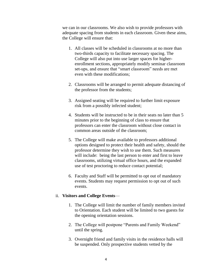we can in our classrooms. We also wish to provide professors with adequate spacing from students in each classroom. Given these aims, the College will ensure that:

- 1. All classes will be scheduled in classrooms at no more than two-thirds capacity to facilitate necessary spacing. The College will also put into use larger spaces for higherenrollment sections, appropriately modify seminar classroom set-ups, and ensure that "smart classroom" needs are met even with these modifications;
- 2. Classrooms will be arranged to permit adequate distancing of the professor from the students;
- 3. Assigned seating will be required to further limit exposure risk from a possibly infected student;
- 4. Students will be instructed to be in their seats no later than 5 minutes prior to the beginning of class to ensure that professors can enter the classroom without close contact in common areas outside of the classroom;
- 5. The College will make available to professors additional options designed to protect their health and safety, should the professor determine they wish to use them. Such measures will include: being the last person to enter and first to leave classrooms, utilizing virtual office hours, and the expanded use of test proctoring to reduce contact potential;
- 6. Faculty and Staff will be permitted to opt out of mandatory events. Students may request permission to opt out of such events.

#### ii. **Visitors and College Events**—

- 1. The College will limit the number of family members invited to Orientation. Each student will be limited to two guests for the opening orientation sessions.
- 2. The College will postpone "Parents and Family Weekend" until the spring.
- 3. Overnight friend and family visits in the residence halls will be suspended. Only prospective students vetted by the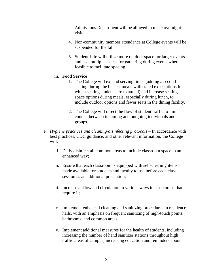Admissions Department will be allowed to make overnight visits.

- 4. Non-community member attendance at College events will be suspended for the fall.
- 5. Student Life will utilize more outdoor space for larger events and use multiple spaces for gathering during events where feasible to facilitate spacing.

# iii. **Food Service**

- 1. The College will expand serving times (adding a second seating during the busiest meals with stated expectations for which seating students are to attend) and increase seating space options during meals, especially during lunch, to include outdoor options and fewer seats in the dining facility.
- 2. The College will direct the flow of student traffic to limit contact between incoming and outgoing individuals and groups.
- e. *Hygiene practices and cleaning/disinfecting protocols* In accordance with best practices, CDC guidance, and other relevant information, the College will:
	- i. Daily disinfect all common areas to include classroom space in an enhanced way;
	- ii. Ensure that each classroom is equipped with self-cleaning items made available for students and faculty to use before each class session as an additional precaution;
	- iii. Increase airflow and circulation in various ways in classrooms that require it;
	- iv. Implement enhanced cleaning and sanitizing procedures in residence halls, with an emphasis on frequent sanitizing of high-touch points, bathrooms, and common areas.
	- v. Implement additional measures for the health of students, including increasing the number of hand sanitizer stations throughout high traffic areas of campus, increasing education and reminders about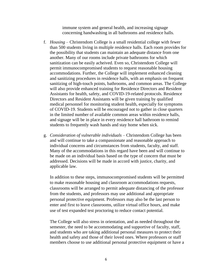immune system and general health, and increasing signage concerning handwashing in all bathrooms and residence halls.

- f. *Housing* Christendom College is a small residential college with fewer than 500 students living in multiple residence halls. Each room provides for the possibility that students can maintain an adequate distance from one another. Many of our rooms include private bathrooms for which sanitization can be easily acheived. Even so, Christendom College will permit immunocompromised students to request reasonable housing accommodations. Further, the College will implement enhanced cleaning and sanitizing procedures in residence halls, with an emphasis on frequent sanitizing of high-touch points, bathrooms, and common areas. The College will also provide enhanced training for Residence Directors and Resident Assistants for health, safety, and COVID-19-related protocols. Residence Directors and Resident Assistants will be given training by qualified medical personnel for monitoring student health, especially for symptoms of COVID-19. Students will be encouraged not to gather in close quarters in the limited number of available common areas within residence halls, and signage will be in place in every residence hall bathroom to remind students to frequently wash hands and stay home when sick.
- g. *Consideration of vulnerable individuals* Christendom College has been and will continue to take a compassionate and reasonable approach to individual concerns and circumstances from students, faculty, and staff. Many of the accommodations in this regard have been and will continue to be made on an individual basis based on the type of concern that must be addressed. Decisions will be made in accord with justice, charity, and applicable law.

In addition to these steps, immunocompromised students will be permitted to make reasonable housing and classroom accommodations requests, classrooms will be arranged to permit adequate distancing of the professor from the students, and professors may use additional and appropriate personal protective equipment. Professors may also be the last person to enter and first to leave classrooms, utilize virtual office hours, and make use of test expanded test proctoring to reduce contact potential.

The College will also stress in orientation, and as needed throughout the semester, the need to be accommodating and supportive of faculty, staff, and students who are taking additional personal measures to protect their health and safety and those of their loved ones. Where professors or staff members choose to use additional personal protective equipment or have a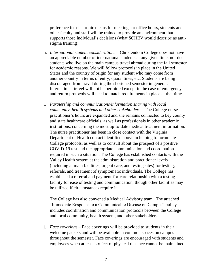preference for electronic means for meetings or office hours, students and other faculty and staff will be trained to provide an environment that supports those individual's decisions (what SCHEV would describe as antistigma training).

- h. *International student considerations* Christendom College does not have an appreciable number of international students at any given time, nor do students who live on the main campus travel abroad during the fall semester for academic reasons. We will follow protocols in place in the United States and the country of origin for any student who may come from another country in terms of entry, quarantines, etc. Students are being discouraged from travel during the shortened semester in general. International travel will not be permitted except in the case of emergency, and return protocols will need to match requirements in place at that time.
- i. *Partnership and communications/information sharing with local community, health systems and other stakeholders* – The College nurse practitioner's hours are expanded and she remains connected to key county and state healthcare officials, as well as professionals in other academic institutions, concerning the most up-to-date medical treatment information. The nurse practitioner has been in close contact with the Virginia Department of Health contact identified above in helping to formulate College protocols, as well as to consult about the prospect of a positive COVID-19 test and the appropriate communication and coordination required in such a situation. The College has established contacts with the Valley Health system at the administration and practitioner levels (including at main facilities, urgent care, and testing sites) for testing, referrals, and treatment of symptomatic individuals. The College has established a referral and payment-for-care relationship with a testing facility for ease of testing and communication, though other facilities may be utilized if circumstances require it.

The College has also convened a Medical Advisory team. The attached "Immediate Response to a Communicable Disease on Campus" policy includes coordination and communication protocols between the College and local community, health system, and other stakeholders.

j. *Face coverings* – Face coverings will be provided to students in their welcome packets and will be available in common spaces on campus throughout the semester. Face coverings are encouraged with students and employees when at least six feet of physical distance cannot be maintained.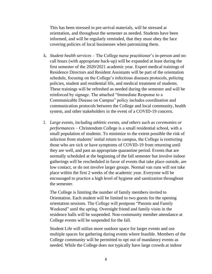This has been stressed in pre-arrival materials, will be stressed at orientation, and throughout the semester as needed. Students have been informed, and will be regularly reminded, that they must obey the face covering policies of local businesses when patronizing them.

- k. *Student health services* The College nurse practitioner's in-person and oncall hours (with appropriate back-up) will be expanded at least during the first semester of the 2020/2021 academic year. Expert medical trainings of Residence Directors and Resident Assistants will be part of the orientation schedule, focusing on the College's infectious diseases protocols, policing policies, student and residential life, and medical treatment of students. These trainings will be refreshed as needed during the semester and will be reinforced by signage. The attached "Immediate Response to a Communicable Disease on Campus" policy includes coordination and communication protocols between the College and local community, health system, and other stakeholders in the event of a COVID-19 concern.
- l. *Large events, including athletic events, and others such as ceremonies or performances* – Christendom College is a small residential school, with a small population of students. To minimize to the extent possible the risk of infection from students' initial return to campus, the College is restricting those who are sick or have symptoms of COVID-19 from returning until they are well, and past an appropriate quarantine period. Events that are normally scheduled at the beginning of the fall semester but involve indoor gatherings will be rescheduled in favor of events that take place outside, are low contact, or do not involve larger groups. Normal van runs will not take place within the first 2 weeks of the academic year. Everyone will be encouraged to practice a high level of hygiene and sanitization throughout the semester.

The College is limiting the number of family members invited to Orientation. Each student will be limited to two guests for the opening orientation sessions. The College will postpone "Parents and Family Weekend" until the spring. Overnight friend and family visits in the residence halls will be suspended. Non-community member attendance at College events will be suspended for the fall.

Student Life will utilize more outdoor space for larger events and use multiple spaces for gathering during events where feasible. Members of the College community will be permitted to opt out of mandatory events as needed. While the College does not typically have large crowds at indoor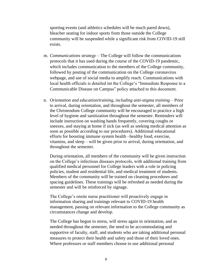sporting events (and athletics schedules will be much pared down), bleacher seating for indoor sports from those outside the College community will be suspended while a significant risk from COVID-19 still exists.

- m. *Communications strategy* The College will follow the communications protocols that it has used during the course of the COVID-19 pandemic, which includes communication to the members of the College community, followed by posting of the communication on the College coronavirus webpage, and use of social media to amplify reach. Communications with local health officials is detailed int the College's "Immediate Response to a Communicable Disease on Campus" policy attached to this document.
- n. *Orientation and education/training, including anti-stigma training Prior* to arrival, during orientation, and throughout the semester, all members of the Christendom College community will be encouraged to practice a high level of hygiene and sanitization throughout the semester. Reminders will include instruction on washing hands frequently, covering coughs or sneezes, and staying at home if sick (as well as seeking medical attention as soon as possible according to our procedures). Additional educational efforts for boosting immune system health –healthy food, exercise, vitamins, and sleep – will be given prior to arrival, during orientation, and throughout the semester.

During orientation, all members of the community will be given instruction on the College's infectious diseases protocols, with additional training from qualified medical personnel for College leaders with a role in policing policies, student and residential life, and medical treatment of students. Members of the community will be trained on cleaning procedures and spacing guidelines. These trainings will be refreshed as needed during the semester and will be reinforced by signage.

The College's onsite nurse practitioner will proactively engage in information sharing and trainings relevant to COVID-19 health management, passing on relevant information to the College community as circumstances change and develop.

The College has begun to stress, will stress again in orientation, and as needed throughout the semester, the need to be accommodating and supportive of faculty, staff, and students who are taking additional personal measures to protect their health and safety and those of their loved ones. Where professors or staff members choose to use additional personal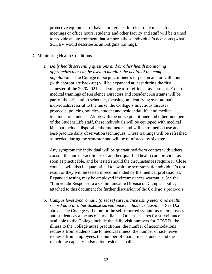protective equipment or have a preference for electronic means for meetings or office hours, students and other faculty and staff will be trained to provide an environment that supports those individual's decisions (what SCHEV would describe as anti-stigma training).

#### D. Monitoring Health Conditions

a. *Daily health screening questions and/or other health monitoring approaches that can be used to monitor the health of the campus population* – The College nurse practitioner's in-person and on-call hours (with appropriate back-up) will be expanded at least during the first semester of the 2020/2021 academic year for efficient assessment. Expert medical trainings of Residence Directors and Resident Assistants will be part of the orientation schedule, focusing on identifying symptomatic individuals, referral to the nurse, the College's infectious diseases protocols, policing policies, student and residential life, and medical treatment of students. Along with the nurse practitioner and other members of the Student Life staff, these individuals will be equipped with medical kits that include disposable thermometers and will be trained on use and best-practice daily observation techniques. These trainings will be refreshed as needed during the semester and will be reinforced by signage.

Any symptomatic individual will be quarantined from contact with others, consult the nurse practitioner or another qualified health care provider as soon as practicable, and be tested should the circumstances require it. Close contacts will also be quarantined to await the symptomatic individual's test result or they will be tested if recommended by the medical professional. Expanded testing may be employed if circumstances warrant it. See the "Immediate Response to a Communicable Disease on Campus" policy attached to this document for further discussion of the College's protocols.

b. *Campus level syndromatic (disease) surveillance using electronic health record data or other disease surveillance methods as feasible* – See D.a above. The College will monitor the self-reported symptoms of employees and students as a means of surveillance. Other measures for surveillance available to the College include the daily visit numbers for COVID-like illness to the College nurse practitioner, the number of accomodations requests from students due to medical illness, the number of sick leave requests from employees, the number of quarantined students and the remaining capacity in isolation residence halls.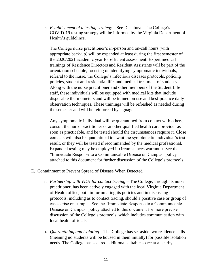c. *Establishment of a testing strategy* – See D.a above. The College's COVID-19 testing strategy will be informed by the Virginia Department of Health's guidelines.

The College nurse practitioner's in-person and on-call hours (with appropriate back-up) will be expanded at least during the first semester of the 2020/2021 academic year for efficient assessment. Expert medical trainings of Residence Directors and Resident Assistants will be part of the orientation schedule, focusing on identifying symptomatic individuals, referral to the nurse, the College's infectious diseases protocols, policing policies, student and residential life, and medical treatment of students. Along with the nurse practitioner and other members of the Student Life staff, these individuals will be equipped with medical kits that include disposable thermometers and will be trained on use and best-practice daily observation techniques. These trainings will be refreshed as needed during the semester and will be reinforced by signage.

Any symptomatic individual will be quarantined from contact with others, consult the nurse practitioner or another qualified health care provider as soon as practicable, and be tested should the circumstances require it. Close contacts will also be quarantined to await the symptomatic individual's test result, or they will be tested if recommended by the medical professional. Expanded testing may be employed if circumstances warrant it. See the "Immediate Response to a Communicable Disease on Campus" policy attached to this document for further discussion of the College's protocols.

- E. Containment to Prevent Spread of Disease When Detected
	- a. *Partnership with VDH for contact tracing* The College, through its nurse practitioner, has been actively engaged with the local Virginia Department of Health office, both in formulating its policies and in discussing protocols, including as to contact tracing, should a positive case or group of cases arise on campus. See the "Immediate Response to a Communicable Disease on Campus" policy attached to this document for more precise discussion of the College's protocols, which includes communication with local health officials.
	- b. *Quarantining and isolating* The College has set aside two residence halls (meaning no students will be housed in them initially) for possible isolation needs. The College has secured additional suitable space at a nearby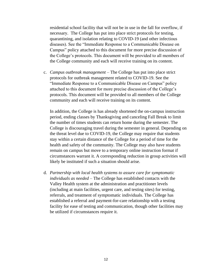residential school facility that will not be in use in the fall for overflow, if necessary. The College has put into place strict protocols for testing, quarantining, and isolation relating to COVID-19 (and other infectious diseases). See the "Immediate Response to a Communicable Disease on Campus" policy attached to this document for more precise discussion of the College's protocols. This document will be provided to all members of the College community and each will receive training on its content.

c. *Campus outbreak management* – The College has put into place strict protocols for outbreak management related to COVID-19. See the "Immediate Response to a Communicable Disease on Campus" policy attached to this document for more precise discussion of the College's protocols. This document will be provided to all members of the College community and each will receive training on its content.

In addition, the College is has already shortened the on-campus instruction period, ending classes by Thanksgiving and canceling Fall Break to limit the number of times students can return home during the semester. The College is discouraging travel during the semester in general. Depending on the threat level due to COVID-19, the College may require that students stay within a certain distance of the College for a period of time for the health and safety of the community. The College may also have students remain on campus but move to a temporary online instruction format if circumstances warrant it. A corresponding reduction in group activities will likely be instituted if such a situation should arise.

d. *Partnership with local health systems to assure care for symptomatic individuals as needed* – The College has established contacts with the Valley Health system at the administration and practitioner levels (including at main facilities, urgent care, and testing sites) for testing, referrals, and treatment of symptomatic individuals. The College has established a referral and payment-for-care relationship with a testing facility for ease of testing and communication, though other facilities may be utilized if circumstances require it.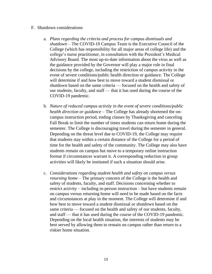#### F. Shutdown considerations

- a. *Plans regarding the criteria and process for campus dismissals and shutdown* – The COVID-19 Campus Team is the Executive Council of the College (which has responsibility for all major areas of college life) and the college's nurse practitioner, in consultation with the President's Medical Advisory Board. The most up-to-date information about the virus as well as the guidance provided by the Governor will play a major role in final decisions by the college, including the restriction of campus activity in the event of severe conditions/public health direction or guidance. The College will determine if and how best to move toward a student dismissal or shutdown based on the same criteria — focused on the health and safety of our students, faculty, and staff — that it has used during the course of the COVID-19 pandemic.
- b. *Nature of reduced campus activity in the event of severe conditions/public health direction or guidance* – The College has already shortened the oncampus instruction period, ending classes by Thanksgiving and canceling Fall Break to limit the number of times students can return home during the semester. The College is discouraging travel during the semester in general. Depending on the threat level due to COVID-19, the College may require that students stay within a certain distance of the College for a period of time for the health and safety of the community. The College may also have students remain on campus but move to a temporary online instruction format if circumstances warrant it. A corresponding reduction in group activities will likely be instituted if such a situation should arise.
- c. *Considerations regarding student health and safety on campus versus returning home* – The primary concern of the College is the health and safety of students, faculty, and staff. Decisions concerning whether to restrict activity – including in-person instruction – but have students remain on campus versus returning home will need to be made based on the facts and circumstances at play in the moment. The College will determine if and how best to move toward a student dismissal or shutdown based on the same criteria — focused on the health and safety of our students, faculty, and staff — that it has used during the course of the COVID-19 pandemic. Depending on the local health situation, the interests of students may be best served by allowing them to remain on campus rather than return to a riskier home situation.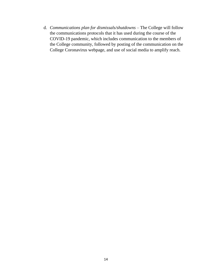d. *Communications plan for dismissals/shutdowns* – The College will follow the communications protocols that it has used during the course of the COVID-19 pandemic, which includes communication to the members of the College community, followed by posting of the communication on the College Coronavirus webpage, and use of social media to amplify reach.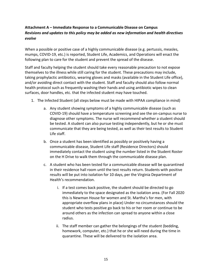# **Attachment A – Immediate Response to a Communicable Disease on Campus** *Revisions and updates to this policy may be added as new information and health directives evolve*

When a possible or positive case of a highly communicable disease (e.g. pertussis, measles, mumps, COVID-19, etc.) is reported, Student Life, Academics, and Operations will enact the following plan to care for the student and prevent the spread of the disease.

Staff and faculty helping the student should take every reasonable precaution to not expose themselves to the illness while still caring for the student. These precautions may include, taking prophylactic antibiotics, wearing gloves and masks (available in the Student Life office), and/or avoiding direct contact with the student. Staff and faculty should also follow normal health protocol such as frequently washing their hands and using antibiotic wipes to clean surfaces, door handles, etc. that the infected student may have touched.

- 1. The Infected Student (all steps below must be made with HIPAA compliance in mind)
	- a. Any student showing symptoms of a highly communicable disease (such as COVID-19) should have a temperature screening and see the on-campus nurse to diagnose other symptoms. The nurse will recommend whether a student should be tested. A student can also pursue testing independently, but he or she must communicate that they are being tested, as well as their test results to Student Life staff.
	- b. Once a student has been identified as possibly or positively having a communicable disease, Student Life staff (Residence Directors) should immediately contact the student using the number listed in the Student Roster on the H Drive to walk them through the communicable disease plan.
	- c. A student who has been tested for a communicable disease will be quarantined in their residence hall room until the test results return. Students with positive results will be put into isolation for 10 days, per the Virginia Department of Health's recommendation.
		- i. If a test comes back positive, the student should be directed to go immediately to the space designated as the isolation area. (For Fall 2020 this is Newman House for women and St. Martha's for men, with appropriate overflow plans in place) Under no circumstances should the student who tests positive go back to his or her room or continue to be around others as the infection can spread to anyone within a close radius.
		- ii. The staff member can gather the belongings of the student (bedding, homework, computer, etc.) that he or she will need during the time in quarantine. These will be delivered to the isolation area.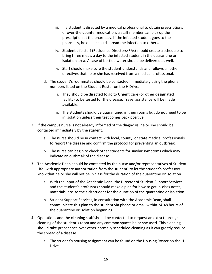- iii. If a student is directed by a medical professional to obtain prescriptions or over-the-counter medication, a staff member can pick up the prescription at the pharmacy. If the infected student goes to the pharmacy, he or she could spread the infection to others.
- iv. Student Life staff (Residence Directors/RAs) should create a schedule to bring three meals a day to the infected student in the quarantine or isolation area. A case of bottled water should be delivered as well.
- v. Staff should make sure the student understands and follows all other directives that he or she has received from a medical professional.
- d. The student's roommates should be contacted immediately using the phone numbers listed on the Student Roster on the H Drive.
	- i. They should be directed to go to Urgent Care (or other designated facility) to be tested for the disease. Travel assistance will be made available.
	- ii. The students should be quarantined in their rooms but do not need to be in isolation unless their test comes back positive.
- 2. If the campus nurse is not already informed of the diagnosis, he or she should be contacted immediately by the student.
	- a. The nurse should be in contact with local, county, or state medical professionals to report the disease and confirm the protocol for preventing an outbreak.
	- b. The nurse can begin to check other students for similar symptoms which may indicate an outbreak of the disease.
- 3. The Academic Dean should be contacted by the nurse and/or representatives of Student Life (with appropriate authorization from the student) to let the student's professors know that he or she will not be in class for the duration of the quarantine or isolation.
	- a. With the input of the Academic Dean, the Director of Student Support Services and the student's professors should make a plan for how to get in-class notes, materials, etc. to the sick student for the duration of the quarantine or isolation.
	- b. Student Support Services, in consultation with the Academic Dean, shall communicate this plan to the student via phone or email within 24-48 hours of the quarantine or isolation beginning.
- 4. Operations and the cleaning staff should be contacted to request an extra thorough cleaning of the student's room and any common spaces he or she used. This cleaning should take precedence over other normally scheduled cleaning as it can greatly reduce the spread of a disease.
	- a. The student's housing assignment can be found on the Housing Roster on the H Drive.